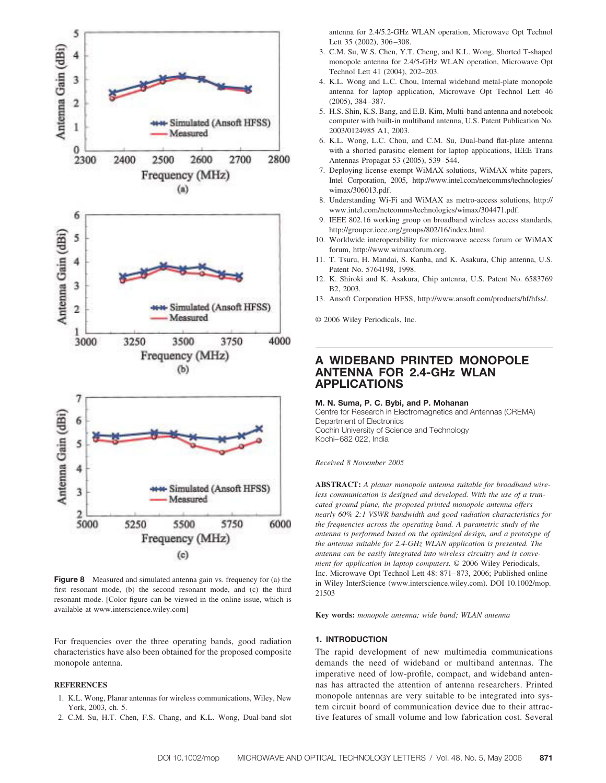

**Figure 8** Measured and simulated antenna gain vs. frequency for (a) the first resonant mode, (b) the second resonant mode, and (c) the third resonant mode. [Color figure can be viewed in the online issue, which is available at www.interscience.wiley.com]

For frequencies over the three operating bands, good radiation characteristics have also been obtained for the proposed composite monopole antenna.

## **REFERENCES**

- 1. K.L. Wong, Planar antennas for wireless communications, Wiley, New York, 2003, ch. 5.
- 2. C.M. Su, H.T. Chen, F.S. Chang, and K.L. Wong, Dual-band slot

antenna for 2.4/5.2-GHz WLAN operation, Microwave Opt Technol Lett 35 (2002), 306-308.

- 3. C.M. Su, W.S. Chen, Y.T. Cheng, and K.L. Wong, Shorted T-shaped monopole antenna for 2.4/5-GHz WLAN operation, Microwave Opt Technol Lett 41 (2004), 202–203.
- 4. K.L. Wong and L.C. Chou, Internal wideband metal-plate monopole antenna for laptop application, Microwave Opt Technol Lett 46 (2005), 384 –387.
- 5. H.S. Shin, K.S. Bang, and E.B. Kim, Multi-band antenna and notebook computer with built-in multiband antenna, U.S. Patent Publication No. 2003/0124985 A1, 2003.
- 6. K.L. Wong, L.C. Chou, and C.M. Su, Dual-band flat-plate antenna with a shorted parasitic element for laptop applications, IEEE Trans Antennas Propagat 53 (2005), 539 –544.
- 7. Deploying license-exempt WiMAX solutions, WiMAX white papers, Intel Corporation, 2005, http://www.intel.com/netcomms/technologies/ wimax/306013.pdf.
- 8. Understanding Wi-Fi and WiMAX as metro-access solutions, http:// www.intel.com/netcomms/technologies/wimax/304471.pdf.
- 9. IEEE 802.16 working group on broadband wireless access standards, http://grouper.ieee.org/groups/802/16/index.html.
- 10. Worldwide interoperability for microwave access forum or WiMAX forum, http://www.wimaxforum.org.
- 11. T. Tsuru, H. Mandai, S. Kanba, and K. Asakura, Chip antenna, U.S. Patent No. 5764198, 1998.
- 12. K. Shiroki and K. Asakura, Chip antenna, U.S. Patent No. 6583769 B2, 2003.
- 13. Ansoft Corporation HFSS, http://www.ansoft.com/products/hf/hfss/.

© 2006 Wiley Periodicals, Inc.

# **A WIDEBAND PRINTED MONOPOLE ANTENNA FOR 2.4-GHz WLAN APPLICATIONS**

#### **M. N. Suma, P. C. Bybi, and P. Mohanan**

Centre for Research in Electromagnetics and Antennas (CREMA) Department of Electronics Cochin University of Science and Technology Kochi– 682 022, India

*Received 8 November 2005*

**ABSTRACT:** *A planar monopole antenna suitable for broadband wireless communication is designed and developed. With the use of a truncated ground plane, the proposed printed monopole antenna offers nearly 60% 2:1 VSWR bandwidth and good radiation characteristics for the frequencies across the operating band. A parametric study of the antenna is performed based on the optimized design, and a prototype of the antenna suitable for 2.4-GHz WLAN application is presented. The antenna can be easily integrated into wireless circuitry and is convenient for application in laptop computers.* © 2006 Wiley Periodicals, Inc. Microwave Opt Technol Lett 48: 871– 873, 2006; Published online in Wiley InterScience (www.interscience.wiley.com). DOI 10.1002/mop. 21503

**Key words:** *monopole antenna; wide band; WLAN antenna*

### **1. INTRODUCTION**

The rapid development of new multimedia communications demands the need of wideband or multiband antennas. The imperative need of low-profile, compact, and wideband antennas has attracted the attention of antenna researchers. Printed monopole antennas are very suitable to be integrated into system circuit board of communication device due to their attractive features of small volume and low fabrication cost. Several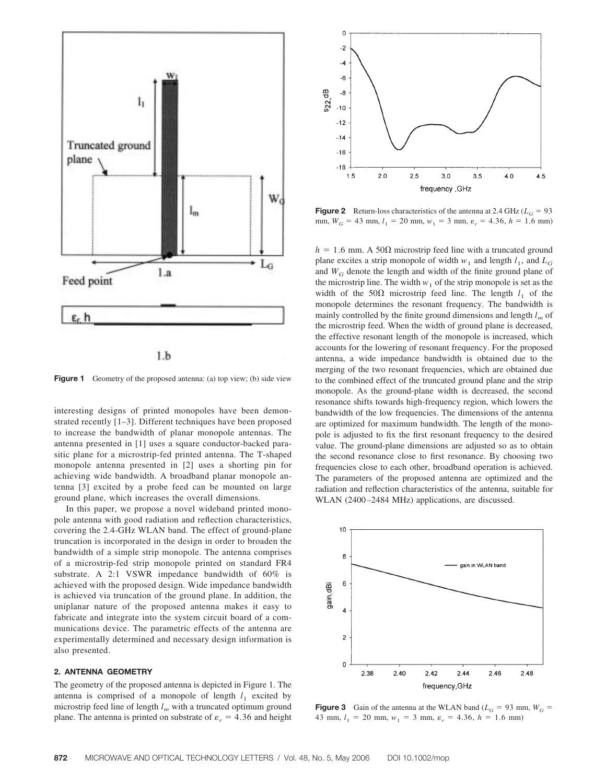

 $1.b$ 

**Figure 1** Geometry of the proposed antenna: (a) top view; (b) side view

interesting designs of printed monopoles have been demonstrated recently [1–3]. Different techniques have been proposed to increase the bandwidth of planar monopole antennas. The antenna presented in [1] uses a square conductor-backed parasitic plane for a microstrip-fed printed antenna. The T-shaped monopole antenna presented in [2] uses a shorting pin for achieving wide bandwidth. A broadband planar monopole antenna [3] excited by a probe feed can be mounted on large ground plane, which increases the overall dimensions.

In this paper, we propose a novel wideband printed monopole antenna with good radiation and reflection characteristics, covering the 2.4-GHz WLAN band. The effect of ground-plane truncation is incorporated in the design in order to broaden the bandwidth of a simple strip monopole. The antenna comprises of a microstrip-fed strip monopole printed on standard FR4 substrate. A 2:1 VSWR impedance bandwidth of 60% is achieved with the proposed design. Wide impedance bandwidth is achieved via truncation of the ground plane. In addition, the uniplanar nature of the proposed antenna makes it easy to fabricate and integrate into the system circuit board of a communications device. The parametric effects of the antenna are experimentally determined and necessary design information is also presented.

#### **2. ANTENNA GEOMETRY**

The geometry of the proposed antenna is depicted in Figure 1. The antenna is comprised of a monopole of length  $l_1$  excited by microstrip feed line of length  $l_m$  with a truncated optimum ground plane. The antenna is printed on substrate of  $\varepsilon_r = 4.36$  and height



**Figure 2** Return-loss characteristics of the antenna at 2.4 GHz ( $L_G$  = 93) mm,  $W_G = 43$  mm,  $l_1 = 20$  mm,  $w_1 = 3$  mm,  $\varepsilon_r = 4.36$ ,  $h = 1.6$  mm)

 $h = 1.6$  mm. A 50 $\Omega$  microstrip feed line with a truncated ground plane excites a strip monopole of width  $w_1$  and length  $l_1$ , and  $L_G$ and  $W_G$  denote the length and width of the finite ground plane of the microstrip line. The width  $w_1$  of the strip monopole is set as the width of the  $50\Omega$  microstrip feed line. The length  $l_1$  of the monopole determines the resonant frequency. The bandwidth is mainly controlled by the finite ground dimensions and length  $l_m$  of the microstrip feed. When the width of ground plane is decreased, the effective resonant length of the monopole is increased, which accounts for the lowering of resonant frequency. For the proposed antenna, a wide impedance bandwidth is obtained due to the merging of the two resonant frequencies, which are obtained due to the combined effect of the truncated ground plane and the strip monopole. As the ground-plane width is decreased, the second resonance shifts towards high-frequency region, which lowers the bandwidth of the low frequencies. The dimensions of the antenna are optimized for maximum bandwidth. The length of the monopole is adjusted to fix the first resonant frequency to the desired value. The ground-plane dimensions are adjusted so as to obtain the second resonance close to first resonance. By choosing two frequencies close to each other, broadband operation is achieved. The parameters of the proposed antenna are optimized and the radiation and reflection characteristics of the antenna, suitable for WLAN (2400-2484 MHz) applications, are discussed.



**Figure 3** Gain of the antenna at the WLAN band ( $L_G$  = 93 mm,  $W_G$  = 43 mm,  $l_1 = 20$  mm,  $w_1 = 3$  mm,  $\varepsilon_r = 4.36$ ,  $h = 1.6$  mm)